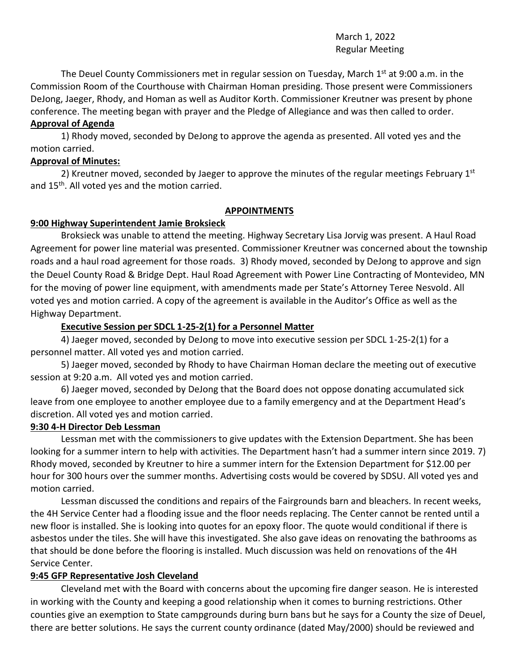## March 1, 2022 Regular Meeting

The Deuel County Commissioners met in regular session on Tuesday, March 1<sup>st</sup> at 9:00 a.m. in the Commission Room of the Courthouse with Chairman Homan presiding. Those present were Commissioners DeJong, Jaeger, Rhody, and Homan as well as Auditor Korth. Commissioner Kreutner was present by phone conference. The meeting began with prayer and the Pledge of Allegiance and was then called to order.

## **Approval of Agenda**

1) Rhody moved, seconded by DeJong to approve the agenda as presented. All voted yes and the motion carried.

## **Approval of Minutes:**

2) Kreutner moved, seconded by Jaeger to approve the minutes of the regular meetings February  $1<sup>st</sup>$ and 15<sup>th</sup>. All voted yes and the motion carried.

## **APPOINTMENTS**

# **9:00 Highway Superintendent Jamie Broksieck**

Broksieck was unable to attend the meeting. Highway Secretary Lisa Jorvig was present. A Haul Road Agreement for power line material was presented. Commissioner Kreutner was concerned about the township roads and a haul road agreement for those roads. 3) Rhody moved, seconded by DeJong to approve and sign the Deuel County Road & Bridge Dept. Haul Road Agreement with Power Line Contracting of Montevideo, MN for the moving of power line equipment, with amendments made per State's Attorney Teree Nesvold. All voted yes and motion carried. A copy of the agreement is available in the Auditor's Office as well as the Highway Department.

# **Executive Session per SDCL 1-25-2(1) for a Personnel Matter**

4) Jaeger moved, seconded by DeJong to move into executive session per SDCL 1-25-2(1) for a personnel matter. All voted yes and motion carried.

5) Jaeger moved, seconded by Rhody to have Chairman Homan declare the meeting out of executive session at 9:20 a.m. All voted yes and motion carried.

6) Jaeger moved, seconded by DeJong that the Board does not oppose donating accumulated sick leave from one employee to another employee due to a family emergency and at the Department Head's discretion. All voted yes and motion carried.

### **9:30 4-H Director Deb Lessman**

Lessman met with the commissioners to give updates with the Extension Department. She has been looking for a summer intern to help with activities. The Department hasn't had a summer intern since 2019. 7) Rhody moved, seconded by Kreutner to hire a summer intern for the Extension Department for \$12.00 per hour for 300 hours over the summer months. Advertising costs would be covered by SDSU. All voted yes and motion carried.

Lessman discussed the conditions and repairs of the Fairgrounds barn and bleachers. In recent weeks, the 4H Service Center had a flooding issue and the floor needs replacing. The Center cannot be rented until a new floor is installed. She is looking into quotes for an epoxy floor. The quote would conditional if there is asbestos under the tiles. She will have this investigated. She also gave ideas on renovating the bathrooms as that should be done before the flooring is installed. Much discussion was held on renovations of the 4H Service Center.

# **9:45 GFP Representative Josh Cleveland**

Cleveland met with the Board with concerns about the upcoming fire danger season. He is interested in working with the County and keeping a good relationship when it comes to burning restrictions. Other counties give an exemption to State campgrounds during burn bans but he says for a County the size of Deuel, there are better solutions. He says the current county ordinance (dated May/2000) should be reviewed and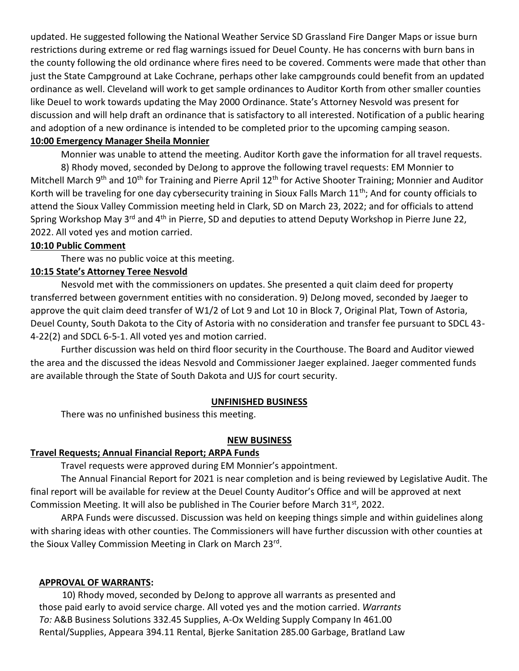updated. He suggested following the National Weather Service SD Grassland Fire Danger Maps or issue burn restrictions during extreme or red flag warnings issued for Deuel County. He has concerns with burn bans in the county following the old ordinance where fires need to be covered. Comments were made that other than just the State Campground at Lake Cochrane, perhaps other lake campgrounds could benefit from an updated ordinance as well. Cleveland will work to get sample ordinances to Auditor Korth from other smaller counties like Deuel to work towards updating the May 2000 Ordinance. State's Attorney Nesvold was present for discussion and will help draft an ordinance that is satisfactory to all interested. Notification of a public hearing and adoption of a new ordinance is intended to be completed prior to the upcoming camping season.

# **10:00 Emergency Manager Sheila Monnier**

Monnier was unable to attend the meeting. Auditor Korth gave the information for all travel requests. 8) Rhody moved, seconded by DeJong to approve the following travel requests: EM Monnier to Mitchell March 9<sup>th</sup> and 10<sup>th</sup> for Training and Pierre April 12<sup>th</sup> for Active Shooter Training; Monnier and Auditor Korth will be traveling for one day cybersecurity training in Sioux Falls March  $11<sup>th</sup>$ ; And for county officials to attend the Sioux Valley Commission meeting held in Clark, SD on March 23, 2022; and for officials to attend Spring Workshop May 3<sup>rd</sup> and 4<sup>th</sup> in Pierre, SD and deputies to attend Deputy Workshop in Pierre June 22, 2022. All voted yes and motion carried.

## **10:10 Public Comment**

There was no public voice at this meeting.

## **10:15 State's Attorney Teree Nesvold**

Nesvold met with the commissioners on updates. She presented a quit claim deed for property transferred between government entities with no consideration. 9) DeJong moved, seconded by Jaeger to approve the quit claim deed transfer of W1/2 of Lot 9 and Lot 10 in Block 7, Original Plat, Town of Astoria, Deuel County, South Dakota to the City of Astoria with no consideration and transfer fee pursuant to SDCL 43- 4-22(2) and SDCL 6-5-1. All voted yes and motion carried.

Further discussion was held on third floor security in the Courthouse. The Board and Auditor viewed the area and the discussed the ideas Nesvold and Commissioner Jaeger explained. Jaeger commented funds are available through the State of South Dakota and UJS for court security.

### **UNFINISHED BUSINESS**

There was no unfinished business this meeting.

### **NEW BUSINESS**

### **Travel Requests; Annual Financial Report; ARPA Funds**

Travel requests were approved during EM Monnier's appointment.

The Annual Financial Report for 2021 is near completion and is being reviewed by Legislative Audit. The final report will be available for review at the Deuel County Auditor's Office and will be approved at next Commission Meeting. It will also be published in The Courier before March 31st, 2022.

ARPA Funds were discussed. Discussion was held on keeping things simple and within guidelines along with sharing ideas with other counties. The Commissioners will have further discussion with other counties at the Sioux Valley Commission Meeting in Clark on March 23<sup>rd</sup>.

# **APPROVAL OF WARRANTS:**

 10) Rhody moved, seconded by DeJong to approve all warrants as presented and those paid early to avoid service charge. All voted yes and the motion carried. *Warrants To:* A&B Business Solutions 332.45 Supplies, A-Ox Welding Supply Company In 461.00 Rental/Supplies, Appeara 394.11 Rental, Bjerke Sanitation 285.00 Garbage, Bratland Law